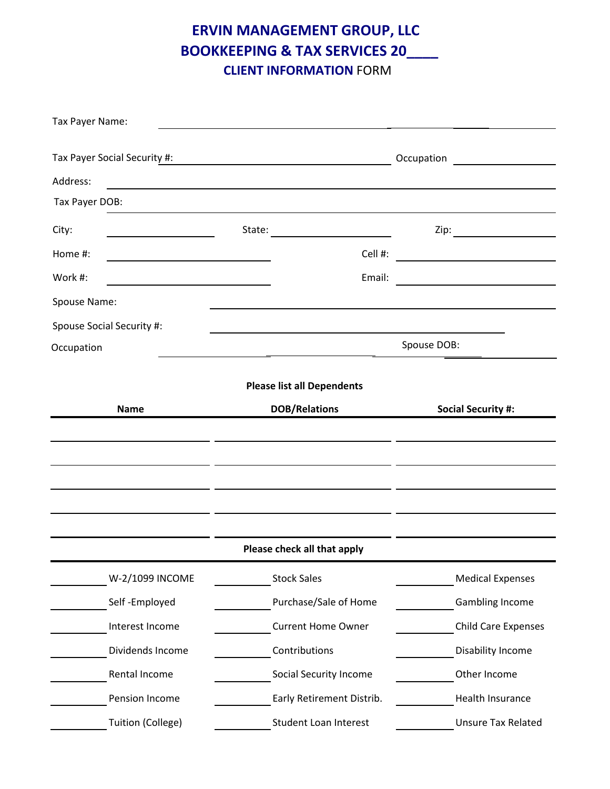**ERVIN MANAGEMENT GROUP, LLC BOOKKEEPING & TAX SERVICES 20\_\_\_\_ CLIENT INFORMATION** FORM

| Tax Payer Name:              |                                                                                                                       |                                    |
|------------------------------|-----------------------------------------------------------------------------------------------------------------------|------------------------------------|
| Tax Payer Social Security #: | <u> 1989 - Johann Barn, mars ann an t-Amhair an t-Amhair an t-Amhair an t-Amhair an t-Amhair an t-Amhair an t-Amh</u> | Occupation                         |
| Address:                     |                                                                                                                       |                                    |
| Tax Payer DOB:               |                                                                                                                       |                                    |
| City:                        | State:                                                                                                                | Zip: $\qquad \qquad \qquad \qquad$ |
| Home #:                      | Cell #:                                                                                                               |                                    |
| Work #:                      | Email:                                                                                                                |                                    |
| Spouse Name:                 |                                                                                                                       |                                    |
| Spouse Social Security #:    |                                                                                                                       |                                    |
| Occupation                   | Spouse DOB:                                                                                                           |                                    |
|                              | <b>Please list all Dependents</b>                                                                                     |                                    |
| <b>Name</b>                  | <b>DOB/Relations</b>                                                                                                  | <b>Social Security #:</b>          |
|                              |                                                                                                                       |                                    |
|                              |                                                                                                                       |                                    |
|                              |                                                                                                                       |                                    |
|                              |                                                                                                                       |                                    |
|                              |                                                                                                                       |                                    |
|                              | Please check all that apply                                                                                           |                                    |
| W-2/1099 INCOME              | <b>Stock Sales</b>                                                                                                    | <b>Medical Expenses</b>            |
| Self-Employed                | Purchase/Sale of Home                                                                                                 | Gambling Income                    |
| Interest Income              | <b>Current Home Owner</b>                                                                                             | <b>Child Care Expenses</b>         |
| Dividends Income             | Contributions                                                                                                         | Disability Income                  |
| Rental Income                | Social Security Income                                                                                                | Other Income                       |
| Pension Income               | Early Retirement Distrib.                                                                                             | Health Insurance                   |
| Tuition (College)            | Student Loan Interest                                                                                                 | <b>Unsure Tax Related</b>          |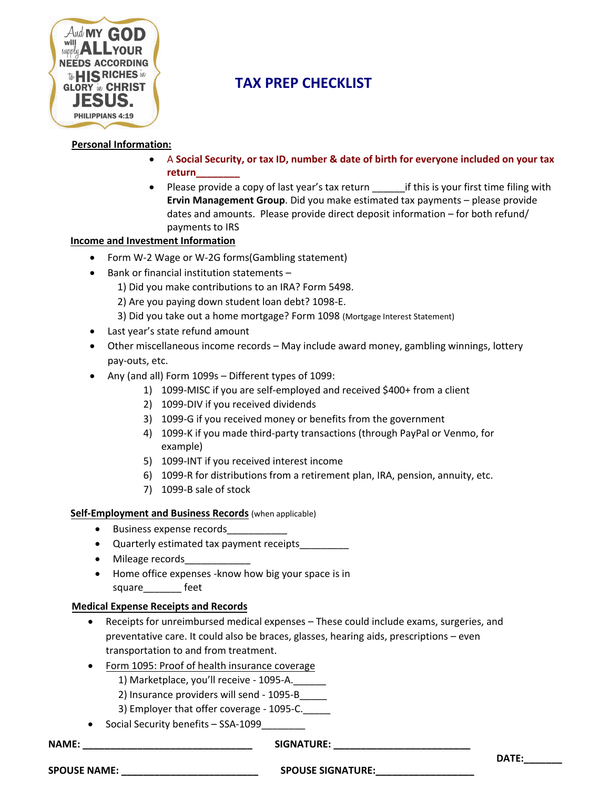

## **TAX PREP CHECKLIST**

#### **Personal Information:**

- A **Social Security, or tax ID, number & date of birth for everyone included on your tax return\_\_\_\_\_\_\_\_**
- Please provide a copy of last year's tax return if this is your first time filing with **Ervin Management Group**. Did you make estimated tax payments – please provide dates and amounts. Please provide direct deposit information – for both refund/ payments to IRS

#### **Income and Investment Information**

- Form W-2 Wage or W-2G forms(Gambling statement)
- Bank or financial institution statements
	- 1) Did you make contributions to an IRA? Form 5498.
	- 2) Are you paying down student loan debt? 1098-E.
	- 3) Did you take out a home mortgage? Form 1098 (Mortgage Interest Statement)
- Last year's state refund amount
- Other miscellaneous income records May include award money, gambling winnings, lottery pay-outs, etc.
- Any (and all) Form 1099s Different types of 1099:
	- 1) 1099-MISC if you are self-employed and received \$400+ from a client
	- 2) 1099-DIV if you received dividends
	- 3) 1099-G if you received money or benefits from the government
	- 4) 1099-K if you made third-party transactions (through PayPal or Venmo, for example)
	- 5) 1099-INT if you received interest income
	- 6) 1099-R for distributions from a retirement plan, IRA, pension, annuity, etc.
	- 7) 1099-B sale of stock

#### **Self-Employment and Business Records** (when applicable)

- Business expense records
- Quarterly estimated tax payment receipts\_\_\_\_\_\_\_\_\_
- Mileage records
- Home office expenses -know how big your space is in square feet

#### **Medical Expense Receipts and Records**

- Receipts for unreimbursed medical expenses These could include exams, surgeries, and preventative care. It could also be braces, glasses, hearing aids, prescriptions – even transportation to and from treatment.
- Form 1095: Proof of health insurance coverage
	- 1) Marketplace, you'll receive 1095-A.
	- 2) Insurance providers will send 1095-B\_\_\_\_\_
	- 3) Employer that offer coverage 1095-C.
- Social Security benefits SSA-1099

**NAME: \_\_\_\_\_\_\_\_\_\_\_\_\_\_\_\_\_\_\_\_\_\_\_\_\_\_\_\_\_\_\_ SIGNATURE: \_\_\_\_\_\_\_\_\_\_\_\_\_\_\_\_\_\_\_\_\_\_\_\_\_**

**DATE:\_\_\_\_\_\_\_**

| <b>SPOUSE NAME</b> |  |
|--------------------|--|
|--------------------|--|

**SPOUSE NAME: \_\_\_\_\_\_\_\_\_\_\_\_\_\_\_\_\_\_\_\_\_\_\_\_\_ SPOUSE SIGNATURE:\_\_\_\_\_\_\_\_\_\_\_\_\_\_\_\_\_\_**